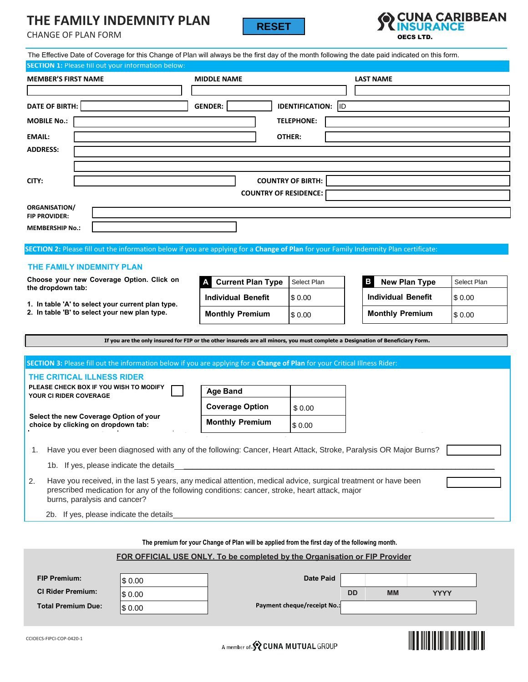# **THE FAMILY INDEMNITY PLAN**





|                                                                                                                                                                                                                                                        | <b>CHANGE OF PLAN FORM</b>                                                                         | IIIL I AIVIILI IIVDLIVIIVII I FLAIV                                                                                            |                                                                                                | <b>RESET</b>                     |                   | <b>TEINSURANCE</b><br><b>OECS LTD.</b> |                                                                                                                                                  |             |  |  |  |  |  |
|--------------------------------------------------------------------------------------------------------------------------------------------------------------------------------------------------------------------------------------------------------|----------------------------------------------------------------------------------------------------|--------------------------------------------------------------------------------------------------------------------------------|------------------------------------------------------------------------------------------------|----------------------------------|-------------------|----------------------------------------|--------------------------------------------------------------------------------------------------------------------------------------------------|-------------|--|--|--|--|--|
|                                                                                                                                                                                                                                                        |                                                                                                    |                                                                                                                                |                                                                                                |                                  |                   |                                        | The Effective Date of Coverage for this Change of Plan will always be the first day of the month following the date paid indicated on this form. |             |  |  |  |  |  |
|                                                                                                                                                                                                                                                        | <b>MEMBER'S FIRST NAME</b>                                                                         | <b>SECTION 1: Please fill out your information below:</b>                                                                      | <b>MIDDLE NAME</b>                                                                             |                                  | <b>LAST NAME</b>  |                                        |                                                                                                                                                  |             |  |  |  |  |  |
|                                                                                                                                                                                                                                                        |                                                                                                    |                                                                                                                                |                                                                                                |                                  |                   |                                        |                                                                                                                                                  |             |  |  |  |  |  |
|                                                                                                                                                                                                                                                        | <b>DATE OF BIRTH:</b>                                                                              |                                                                                                                                | <b>GENDER:</b>                                                                                 | <b>IDENTIFICATION: ID</b>        |                   |                                        |                                                                                                                                                  |             |  |  |  |  |  |
| <b>MOBILE No.:</b>                                                                                                                                                                                                                                     |                                                                                                    |                                                                                                                                |                                                                                                |                                  | <b>TELEPHONE:</b> |                                        |                                                                                                                                                  |             |  |  |  |  |  |
| <b>EMAIL:</b>                                                                                                                                                                                                                                          | OTHER:                                                                                             |                                                                                                                                |                                                                                                |                                  |                   |                                        |                                                                                                                                                  |             |  |  |  |  |  |
|                                                                                                                                                                                                                                                        | <b>ADDRESS:</b>                                                                                    |                                                                                                                                |                                                                                                |                                  |                   |                                        |                                                                                                                                                  |             |  |  |  |  |  |
|                                                                                                                                                                                                                                                        |                                                                                                    |                                                                                                                                |                                                                                                |                                  |                   |                                        |                                                                                                                                                  |             |  |  |  |  |  |
| CITY:                                                                                                                                                                                                                                                  | <b>COUNTRY OF BIRTH:</b><br><b>COUNTRY OF RESIDENCE:</b>                                           |                                                                                                                                |                                                                                                |                                  |                   |                                        |                                                                                                                                                  |             |  |  |  |  |  |
|                                                                                                                                                                                                                                                        |                                                                                                    |                                                                                                                                |                                                                                                |                                  |                   |                                        |                                                                                                                                                  |             |  |  |  |  |  |
| <b>ORGANISATION/</b>                                                                                                                                                                                                                                   |                                                                                                    |                                                                                                                                |                                                                                                |                                  |                   |                                        |                                                                                                                                                  |             |  |  |  |  |  |
| <b>FIP PROVIDER:</b>                                                                                                                                                                                                                                   |                                                                                                    |                                                                                                                                |                                                                                                |                                  |                   |                                        |                                                                                                                                                  |             |  |  |  |  |  |
| <b>MEMBERSHIP No.:</b>                                                                                                                                                                                                                                 |                                                                                                    |                                                                                                                                |                                                                                                |                                  |                   |                                        |                                                                                                                                                  |             |  |  |  |  |  |
| SECTION 2: Please fill out the information below if you are applying for a Change of Plan for your Family Indemnity Plan certificate:                                                                                                                  |                                                                                                    |                                                                                                                                |                                                                                                |                                  |                   |                                        |                                                                                                                                                  |             |  |  |  |  |  |
|                                                                                                                                                                                                                                                        | THE FAMILY INDEMNITY PLAN                                                                          |                                                                                                                                |                                                                                                |                                  |                   |                                        |                                                                                                                                                  |             |  |  |  |  |  |
|                                                                                                                                                                                                                                                        |                                                                                                    | Choose your new Coverage Option. Click on                                                                                      |                                                                                                | <b>Current Plan Type</b>         | Select Plan       |                                        | <b>New Plan Type</b><br>в                                                                                                                        | Select Plan |  |  |  |  |  |
|                                                                                                                                                                                                                                                        | the dropdown tab:                                                                                  |                                                                                                                                | <b>Individual Benefit</b>                                                                      |                                  | \$0.00            |                                        | <b>Individual Benefit</b>                                                                                                                        | \$0.00      |  |  |  |  |  |
|                                                                                                                                                                                                                                                        | 1. In table 'A' to select your current plan type.<br>2. In table 'B' to select your new plan type. |                                                                                                                                | <b>Monthly Premium</b>                                                                         |                                  | \$0.00            |                                        | <b>Monthly Premium</b>                                                                                                                           | \$0.00      |  |  |  |  |  |
|                                                                                                                                                                                                                                                        |                                                                                                    |                                                                                                                                |                                                                                                |                                  |                   |                                        |                                                                                                                                                  |             |  |  |  |  |  |
|                                                                                                                                                                                                                                                        |                                                                                                    | If you are the only insured for FIP or the other insureds are all minors, you must complete a Designation of Beneficiary Form. |                                                                                                |                                  |                   |                                        |                                                                                                                                                  |             |  |  |  |  |  |
|                                                                                                                                                                                                                                                        |                                                                                                    | SECTION 3: Please fill out the information below if you are applying for a Change of Plan for your Critical Illness Rider:     |                                                                                                |                                  |                   |                                        |                                                                                                                                                  |             |  |  |  |  |  |
|                                                                                                                                                                                                                                                        | THE CRITICAL ILLNESS RIDER                                                                         |                                                                                                                                |                                                                                                |                                  |                   |                                        |                                                                                                                                                  |             |  |  |  |  |  |
|                                                                                                                                                                                                                                                        | PLEASE CHECK BOX IF YOU WISH TO MODIFY<br><b>YOUR CI RIDER COVERAGE</b>                            |                                                                                                                                |                                                                                                | <b>Age Band</b>                  |                   |                                        |                                                                                                                                                  |             |  |  |  |  |  |
|                                                                                                                                                                                                                                                        |                                                                                                    |                                                                                                                                | <b>Coverage Option</b>                                                                         |                                  | \$0.00            |                                        |                                                                                                                                                  |             |  |  |  |  |  |
|                                                                                                                                                                                                                                                        | Select the new Coverage Option of your<br>choice by clicking on dropdown tab:                      |                                                                                                                                |                                                                                                | <b>Monthly Premium</b><br>\$0.00 |                   |                                        |                                                                                                                                                  |             |  |  |  |  |  |
|                                                                                                                                                                                                                                                        |                                                                                                    |                                                                                                                                |                                                                                                |                                  |                   |                                        |                                                                                                                                                  |             |  |  |  |  |  |
| 1.                                                                                                                                                                                                                                                     |                                                                                                    |                                                                                                                                |                                                                                                |                                  |                   |                                        | Have you ever been diagnosed with any of the following: Cancer, Heart Attack, Stroke, Paralysis OR Major Burns?                                  |             |  |  |  |  |  |
|                                                                                                                                                                                                                                                        | 1b. If yes, please indicate the details_                                                           |                                                                                                                                |                                                                                                |                                  |                   |                                        |                                                                                                                                                  |             |  |  |  |  |  |
| Have you received, in the last 5 years, any medical attention, medical advice, surgical treatment or have been<br>2.<br>prescribed medication for any of the following conditions: cancer, stroke, heart attack, major<br>burns, paralysis and cancer? |                                                                                                    |                                                                                                                                |                                                                                                |                                  |                   |                                        |                                                                                                                                                  |             |  |  |  |  |  |
|                                                                                                                                                                                                                                                        | 2b. If yes, please indicate the details                                                            |                                                                                                                                |                                                                                                |                                  |                   |                                        |                                                                                                                                                  |             |  |  |  |  |  |
|                                                                                                                                                                                                                                                        |                                                                                                    |                                                                                                                                |                                                                                                |                                  |                   |                                        |                                                                                                                                                  |             |  |  |  |  |  |
|                                                                                                                                                                                                                                                        |                                                                                                    |                                                                                                                                | The premium for your Change of Plan will be applied from the first day of the following month. |                                  |                   |                                        |                                                                                                                                                  |             |  |  |  |  |  |
| FOR OFFICIAL USE ONLY. To be completed by the Organisation or FIP Provider                                                                                                                                                                             |                                                                                                    |                                                                                                                                |                                                                                                |                                  |                   |                                        |                                                                                                                                                  |             |  |  |  |  |  |
|                                                                                                                                                                                                                                                        | <b>FIP Premium:</b>                                                                                |                                                                                                                                |                                                                                                |                                  | <b>Date Paid</b>  |                                        |                                                                                                                                                  |             |  |  |  |  |  |
|                                                                                                                                                                                                                                                        | <b>CI Rider Premium:</b>                                                                           | \$0.00                                                                                                                         |                                                                                                |                                  |                   |                                        | DD<br><b>MM</b><br><b>YYYY</b>                                                                                                                   |             |  |  |  |  |  |
|                                                                                                                                                                                                                                                        | <b>Total Premium Due:</b>                                                                          | \$0.00<br>\$0.00                                                                                                               |                                                                                                | Payment cheque/receipt No.:      |                   |                                        |                                                                                                                                                  |             |  |  |  |  |  |
|                                                                                                                                                                                                                                                        |                                                                                                    |                                                                                                                                |                                                                                                |                                  |                   |                                        |                                                                                                                                                  |             |  |  |  |  |  |

# **FOR OFFICIAL USE ONLY. To be completed by the Organisation or FIP Provider**

| <b>FIP Premium:</b>       | \$0.00 | <b>Date Paid</b>            |           |           |             |  |
|---------------------------|--------|-----------------------------|-----------|-----------|-------------|--|
| <b>CI Rider Premium:</b>  | \$0.00 |                             | <b>DD</b> | <b>MM</b> | <b>YYYY</b> |  |
| <b>Total Premium Due:</b> | \$0.00 | Payment cheque/receipt No.: |           |           |             |  |

A member of S CUNA MUTUAL GROUP